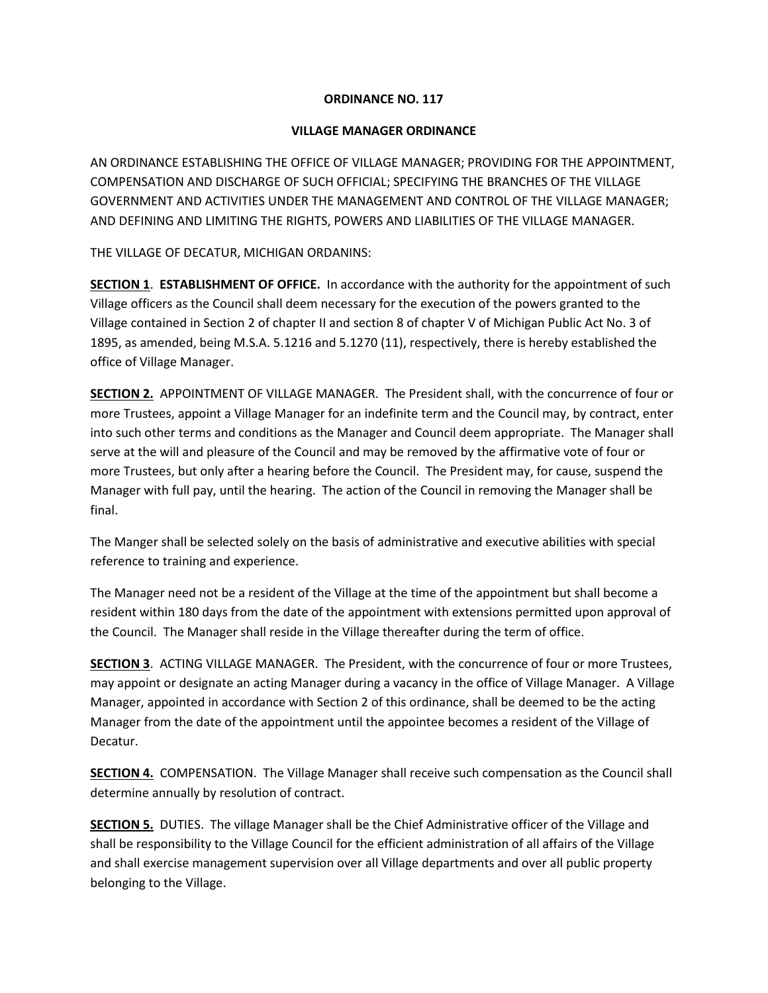## **ORDINANCE NO. 117**

## **VILLAGE MANAGER ORDINANCE**

AN ORDINANCE ESTABLISHING THE OFFICE OF VILLAGE MANAGER; PROVIDING FOR THE APPOINTMENT, COMPENSATION AND DISCHARGE OF SUCH OFFICIAL; SPECIFYING THE BRANCHES OF THE VILLAGE GOVERNMENT AND ACTIVITIES UNDER THE MANAGEMENT AND CONTROL OF THE VILLAGE MANAGER; AND DEFINING AND LIMITING THE RIGHTS, POWERS AND LIABILITIES OF THE VILLAGE MANAGER.

THE VILLAGE OF DECATUR, MICHIGAN ORDANINS:

**SECTION 1**. **ESTABLISHMENT OF OFFICE.** In accordance with the authority for the appointment of such Village officers as the Council shall deem necessary for the execution of the powers granted to the Village contained in Section 2 of chapter II and section 8 of chapter V of Michigan Public Act No. 3 of 1895, as amended, being M.S.A. 5.1216 and 5.1270 (11), respectively, there is hereby established the office of Village Manager.

**SECTION 2.** APPOINTMENT OF VILLAGE MANAGER. The President shall, with the concurrence of four or more Trustees, appoint a Village Manager for an indefinite term and the Council may, by contract, enter into such other terms and conditions as the Manager and Council deem appropriate. The Manager shall serve at the will and pleasure of the Council and may be removed by the affirmative vote of four or more Trustees, but only after a hearing before the Council. The President may, for cause, suspend the Manager with full pay, until the hearing. The action of the Council in removing the Manager shall be final.

The Manger shall be selected solely on the basis of administrative and executive abilities with special reference to training and experience.

The Manager need not be a resident of the Village at the time of the appointment but shall become a resident within 180 days from the date of the appointment with extensions permitted upon approval of the Council. The Manager shall reside in the Village thereafter during the term of office.

**SECTION 3**. ACTING VILLAGE MANAGER. The President, with the concurrence of four or more Trustees, may appoint or designate an acting Manager during a vacancy in the office of Village Manager. A Village Manager, appointed in accordance with Section 2 of this ordinance, shall be deemed to be the acting Manager from the date of the appointment until the appointee becomes a resident of the Village of Decatur.

**SECTION 4.** COMPENSATION. The Village Manager shall receive such compensation as the Council shall determine annually by resolution of contract.

**SECTION 5.** DUTIES. The village Manager shall be the Chief Administrative officer of the Village and shall be responsibility to the Village Council for the efficient administration of all affairs of the Village and shall exercise management supervision over all Village departments and over all public property belonging to the Village.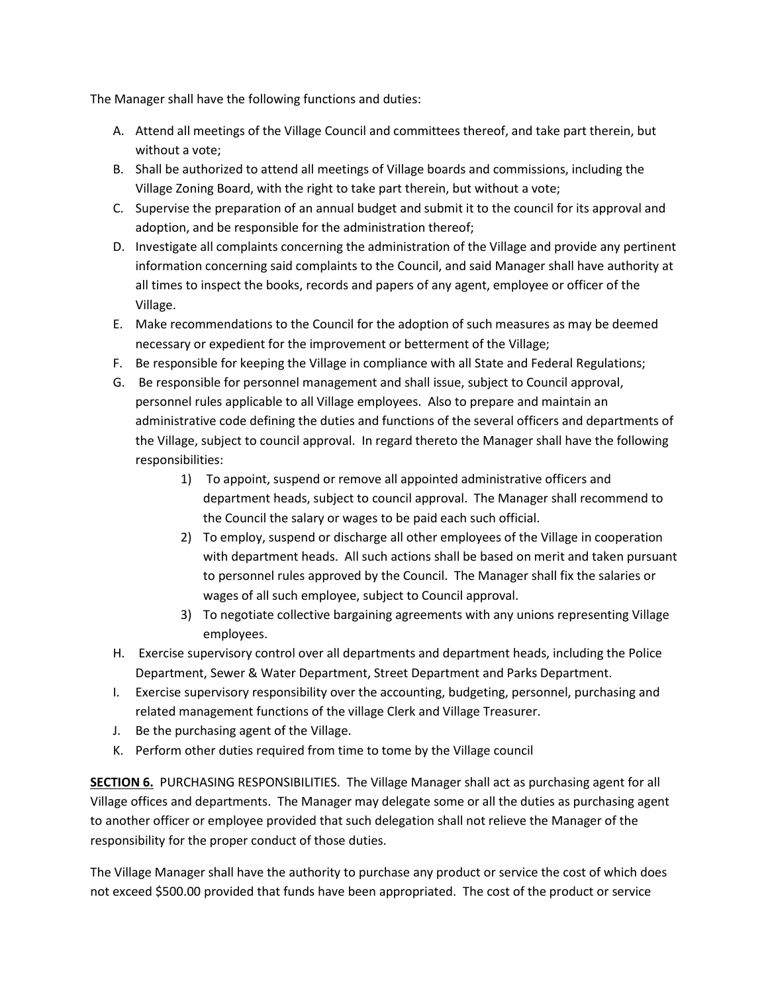The Manager shall have the following functions and duties:

- A. Attend all meetings of the Village Council and committees thereof, and take part therein, but without a vote;
- B. Shall be authorized to attend all meetings of Village boards and commissions, including the Village Zoning Board, with the right to take part therein, but without a vote;
- C. Supervise the preparation of an annual budget and submit it to the council for its approval and adoption, and be responsible for the administration thereof;
- D. Investigate all complaints concerning the administration of the Village and provide any pertinent information concerning said complaints to the Council, and said Manager shall have authority at all times to inspect the books, records and papers of any agent, employee or officer of the Village.
- E. Make recommendations to the Council for the adoption of such measures as may be deemed necessary or expedient for the improvement or betterment of the Village;
- F. Be responsible for keeping the Village in compliance with all State and Federal Regulations;
- G. Be responsible for personnel management and shall issue, subject to Council approval, personnel rules applicable to all Village employees. Also to prepare and maintain an administrative code defining the duties and functions of the several officers and departments of the Village, subject to council approval. In regard thereto the Manager shall have the following responsibilities:
	- 1) To appoint, suspend or remove all appointed administrative officers and department heads, subject to council approval. The Manager shall recommend to the Council the salary or wages to be paid each such official.
	- 2) To employ, suspend or discharge all other employees of the Village in cooperation with department heads. All such actions shall be based on merit and taken pursuant to personnel rules approved by the Council. The Manager shall fix the salaries or wages of all such employee, subject to Council approval.
	- 3) To negotiate collective bargaining agreements with any unions representing Village employees.
- H. Exercise supervisory control over all departments and department heads, including the Police Department, Sewer & Water Department, Street Department and Parks Department.
- I. Exercise supervisory responsibility over the accounting, budgeting, personnel, purchasing and related management functions of the village Clerk and Village Treasurer.
- J. Be the purchasing agent of the Village.
- K. Perform other duties required from time to tome by the Village council

**SECTION 6.** PURCHASING RESPONSIBILITIES. The Village Manager shall act as purchasing agent for all Village offices and departments. The Manager may delegate some or all the duties as purchasing agent to another officer or employee provided that such delegation shall not relieve the Manager of the responsibility for the proper conduct of those duties.

The Village Manager shall have the authority to purchase any product or service the cost of which does not exceed \$500.00 provided that funds have been appropriated. The cost of the product or service